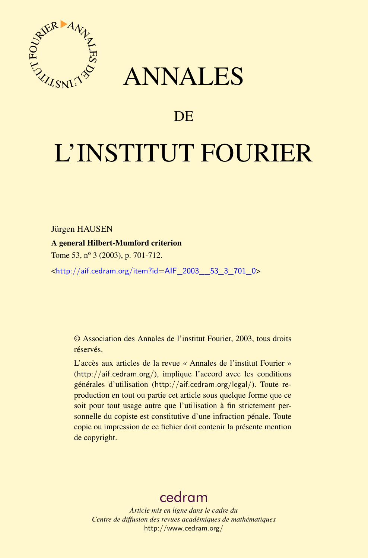



# DE

# L'INSTITUT FOURIER

Jürgen HAUSEN

A general Hilbert-Mumford criterion

Tome 53, nº 3 (2003), p. 701-712.

<[http://aif.cedram.org/item?id=AIF\\_2003\\_\\_53\\_3\\_701\\_0](http://aif.cedram.org/item?id=AIF_2003__53_3_701_0)>

© Association des Annales de l'institut Fourier, 2003, tous droits réservés.

L'accès aux articles de la revue « Annales de l'institut Fourier » (<http://aif.cedram.org/>), implique l'accord avec les conditions générales d'utilisation (<http://aif.cedram.org/legal/>). Toute reproduction en tout ou partie cet article sous quelque forme que ce soit pour tout usage autre que l'utilisation à fin strictement personnelle du copiste est constitutive d'une infraction pénale. Toute copie ou impression de ce fichier doit contenir la présente mention de copyright.

# [cedram](http://www.cedram.org/)

*Article mis en ligne dans le cadre du Centre de diffusion des revues académiques de mathématiques* <http://www.cedram.org/>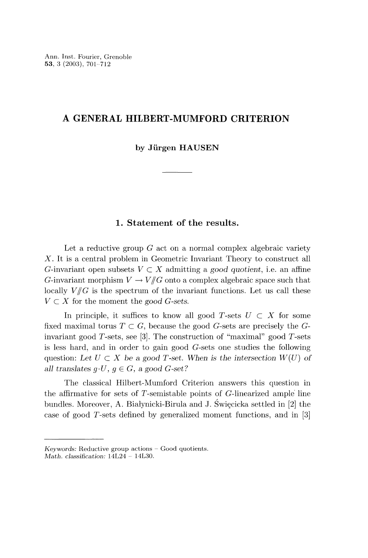# A GENERAL HILBERT-MUMFORD CRITERION

by Jürgen HAUSEN

## 1. Statement of the results.

Let a reductive group  $G$  act on a normal complex algebraic variety X. It is a central problem in Geometric Invariant Theory to construct all G-invariant open subsets  $V \subset X$  admitting a good quotient, i.e. an affine G-invariant morphism  $V \to V/\hspace{-3pt}/ G$  onto a complex algebraic space such that locally  $V/\!\!/ G$  is the spectrum of the invariant functions. Let us call these  $V \subset X$  for the moment the good G-sets.

In principle, it suffices to know all good T-sets  $U \subset X$  for some fixed maximal torus  $T \subset G$ , because the good G-sets are precisely the Ginvariant good T-sets, see [3]. The construction of "maximal" good T-sets is less hard, and in order to gain good G-sets one studies the following question: Let  $U \subset X$  be a good T-set. When is the intersection  $W(U)$  of all translates  $g \cdot U$ ,  $g \in G$ , a good G-set?

The classical Hilbert-Mumford Criterion answers this question in the affirmative for sets of  $T$ -semistable points of  $G$ -linearized ample line bundles. Moreover, A. Białynicki-Birula and J. Święcicka settled in [2] the case of good T-sets defined by generalized moment functions, and in [3]

Keywords: Reductive group actions - Good quotients.

Math. classification: 14L24 - 14L30.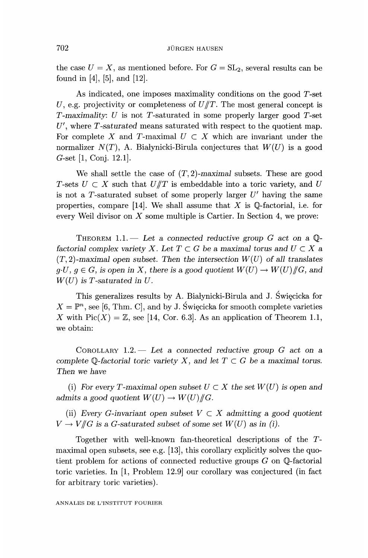the case  $U = X$ , as mentioned before. For  $G = SL_2$ , several results can be found in [4], [5], and [12].

As indicated, one imposes maximality conditions on the good T-set U, e.g. projectivity or completeness of  $U/T$ . The most general concept is  $T$ -maximality:  $U$  is not  $T$ -saturated in some properly larger good  $T$ -set  $U'$ , where T-saturated means saturated with respect to the quotient map. For complete X and T-maximal  $U \subset X$  which are invariant under the normalizer  $N(T)$ , A. Białynicki-Birula conjectures that  $W(U)$  is a good G-set [1, Conj. 12.1].

We shall settle the case of  $(T, 2)$ -maximal subsets. These are good T-sets  $U \subset X$  such that  $U/T$  is embeddable into a toric variety, and U is not a T-saturated subset of some properly larger  $U'$  having the same properties, compare [14]. We shall assume that X is  $\mathbb Q$ -factorial, i.e. for every Weil divisor on  $X$  some multiple is Cartier. In Section 4, we prove:

THEOREM 1.1. - Let a connected reductive group G act on a  $\mathbb{Q}$ factorial complex variety X. Let  $T \subset G$  be a maximal torus and  $U \subset X$  a  $(T, 2)$ -maximal open subset. Then the intersection  $W(U)$  of all translates  $g \cdot U, g \in G$ , is open in X, there is a good quotient  $W(U) \to W(U)/\!\!/ G$ , and  $W(U)$  is T-saturated in U.

This generalizes results by A. Białynicki-Birula and J. Święcicka for  $X = \mathbb{P}^n$ , see [6, Thm. C], and by J. Swięcicka for smooth complete varieties X with  $Pic(X) = \mathbb{Z}$ , see [14, Cor. 6.3]. As an application of Theorem 1.1, we obtain:

COROLLARY  $1.2$ . Let a connected reductive group  $G$  act on a complete Q-factorial toric variety X, and let  $T \subset G$  be a maximal torus. Then we have

(i) For every T-maximal open subset  $U \subset X$  the set  $W(U)$  is open and admits a good quotient  $W(U) \to W(U)/\!\!/ G$ .

(ii) Every G-invariant open subset  $V \subset X$  admitting a good quotient  $V \to V/\!\!/ G$  is a G-saturated subset of some set  $W(U)$  as in (i).

Together with well-known fan-theoretical descriptions of the Tmaximal open subsets, see e.g. [13], this corollary explicitly solves the quotient problem for actions of connected reductive groups  $G$  on  $\mathbb Q$ -factorial toric varieties. In [1, Problem 12.9] our corollary was conjectured (in fact for arbitrary toric varieties).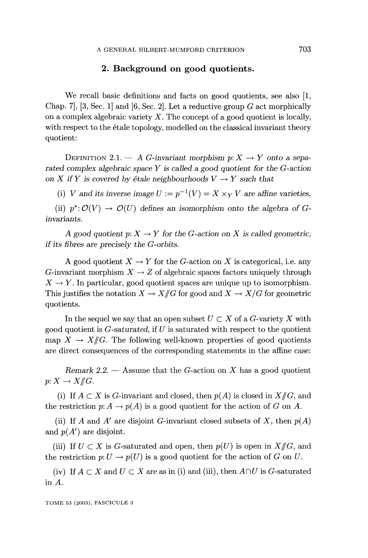# 2. Background on good quotients.

We recall basic definitions and facts on good quotients, see also [1, Chap. 7,  $[3, Sec. 1]$  and  $[6, Sec. 2]$ . Let a reductive group G act morphically on a complex algebraic variety  $X$ . The concept of a good quotient is locally, with respect to the étale topology, modelled on the classical invariant theory quotient:

DEFINITION 2.1.  $- A G$ -invariant morphism  $p: X \rightarrow Y$  onto a separated complex algebraic space  $Y$  is called a good quotient for the  $G$ -action on X if Y is covered by étale neighbourhoods  $V \rightarrow Y$  such that

(i) V and its inverse image  $U := p^{-1}(V) = X \times_V V$  are affine varieties.

(ii)  $p^*:\mathcal{O}(V) \to \mathcal{O}(U)$  defines an isomorphism onto the algebra of Ginvariants.

A good quotient  $p: X \to Y$  for the G-action on X is called geometric, if its fibres are precisely the  $G$ -orbits.

A good quotient  $X \to Y$  for the G-action on X is categorical, i.e. any G-invariant morphism  $X \to Z$  of algebraic spaces factors uniquely through  $X \to Y$ . In particular, good quotient spaces are unique up to isomorphism. This justifies the notation  $X \to X/\!\!/ G$  for good and  $X \to X/G$  for geometric quotients.

In the sequel we say that an open subset  $U \subset X$  of a G-variety X with good quotient is  $G$ -saturated, if U is saturated with respect to the quotient map  $X \to X/\!\!/ G$ . The following well-known properties of good quotients are direct consequences of the corresponding statements in the affine case:

Remark 2.2.  $-$  Assume that the G-action on X has a good quotient  $p: X \to X/\!\!/ G$ .

(i) If  $A \subset X$  is G-invariant and closed, then  $p(A)$  is closed in  $X/\!\!/ G$ , and the restriction  $p: A \to p(A)$  is a good quotient for the action of G on A.

(ii) If A and A' are disjoint G-invariant closed subsets of X, then  $p(A)$ and  $p(A')$  are disjoint.

(iii) If  $U \subset X$  is G-saturated and open, then  $p(U)$  is open in  $X/\!\!/ G$ , and the restriction  $p: U \to p(U)$  is a good quotient for the action of G on U.

(iv) If  $A \subset X$  and  $U \subset X$  are as in (i) and (iii), then  $A \cap U$  is G-saturated in A.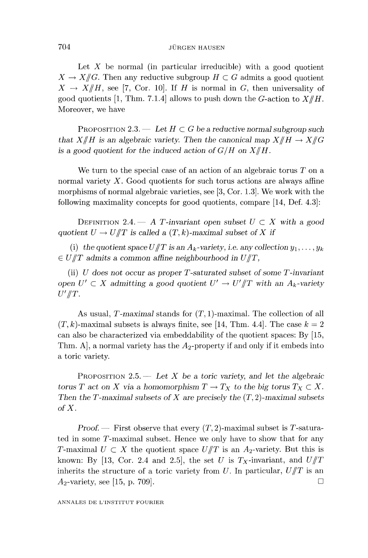#### **JÜRGEN HAUSEN**

Let  $X$  be normal (in particular irreducible) with a good quotient  $X \to X/\!\!/ G$ . Then any reductive subgroup  $H \subset G$  admits a good quotient  $X \to X/\!\!/H$ , see [7, Cor. 10]. If H is normal in G, then universality of good quotients [1, Thm. 7.1.4] allows to push down the G-action to  $X/\!\!/H$ . Moreover, we have

PROPOSITION 2.3. - Let  $H \subset G$  be a reductive normal subgroup such that  $X/\!\!/H$  is an algebraic variety. Then the canonical map  $X/\!\!/H \to X/\!\!/G$ is a good quotient for the induced action of  $G/H$  on  $X/\!\!/H$ .

We turn to the special case of an action of an algebraic torus  $T$  on a normal variety  $X$ . Good quotients for such torus actions are always affine morphisms of normal algebraic varieties, see [3, Cor. 1.3]. We work with the following maximality concepts for good quotients, compare [14, Def. 4.3]:

DEFINITION 2.4. - A T-invariant open subset  $U \subset X$  with a good quotient  $U \to U/T$  is called a  $(T, k)$ -maximal subset of X if

(i) the quotient space  $U/\!\!/ T$  is an  $A_k$ -variety, i.e. any collection  $y_1, \ldots, y_k$  $\epsilon \in U/T$  admits a common affine neighbourhood in  $U/T$ ,

(ii)  $U$  does not occur as proper  $T$ -saturated subset of some  $T$ -invariant open  $U' \subset X$  admitting a good quotient  $U' \to U'/T$  with an  $A_k$ -variety  $U'/T$ .

As usual, T-maximal stands for  $(T, 1)$ -maximal. The collection of all  $(T, k)$ -maximal subsets is always finite, see [14, Thm. 4.4]. The case  $k = 2$ can also be characterized via embeddability of the quotient spaces: By [15, Thm. A, a normal variety has the  $A_2$ -property if and only if it embeds into a toric variety.

PROPOSITION 2.5.  $-$  Let X be a toric variety, and let the algebraic torus T act on X via a homomorphism  $T \to T_X$  to the big torus  $T_X \subset X$ . Then the T-maximal subsets of X are precisely the  $(T, 2)$ -maximal subsets of X.

Proof. – First observe that every  $(T, 2)$ -maximal subset is T-saturated in some T-maximal subset. Hence we only have to show that for any T-maximal  $U \subset X$  the quotient space  $U/T$  is an  $A_2$ -variety. But this is known: By [13, Cor. 2.4 and 2.5], the set U is  $T_X$ -invariant, and  $U/T$ inherits the structure of a toric variety from U. In particular,  $U/T$  is an  $A_2$ -variety, see [15, p. 709].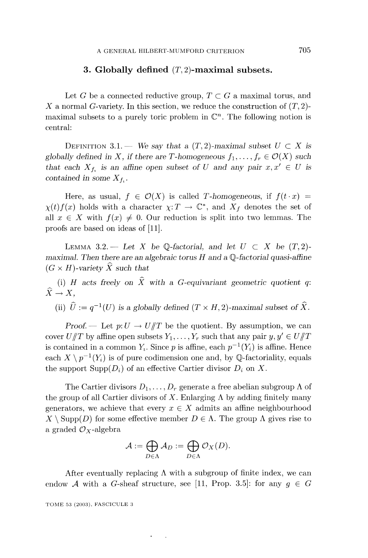### 3. Globally defined  $(T, 2)$ -maximal subsets.

Let G be a connected reductive group,  $T \subset G$  a maximal torus, and X a normal G-variety. In this section, we reduce the construction of  $(T, 2)$ maximal subsets to a purely toric problem in  $\mathbb{C}^n$ . The following notion is central:

DEFINITION 3.1. We say that a  $(T, 2)$ -maximal subset  $U \subset X$  is globally defined in X, if there are T-homogeneous  $f_1, \ldots, f_r \in \mathcal{O}(X)$  such that each  $X_{f_1}$  is an affine open subset of U and any pair  $x, x' \in U$  is contained in some  $X_{f_i}$ .

Here, as usual,  $f \in \mathcal{O}(X)$  is called T-homogeneous, if  $f(t \cdot x) =$  $\chi(t) f(x)$  holds with a character  $\chi: T \to \mathbb{C}^*$ , and  $X_f$  denotes the set of all  $x \in X$  with  $f(x) \neq 0$ . Our reduction is split into two lemmas. The proofs are based on ideas of [11].

LEMMA 3.2. - Let X be Q-factorial, and let  $U \subset X$  be  $(T, 2)$ maximal. Then there are an algebraic torus  $H$  and a  $\mathbb Q$ -factorial quasi-affine  $(G \times H)$ -variety  $\widehat{X}$  such that

 $\widehat{X} \to X,$ (i) H acts freely on  $\hat{X}$  with a G-equivariant geometric quotient q:

(ii)  $\hat{U} := q^{-1}(U)$  is a globally defined  $(T \times H, 2)$ -maximal subset of  $\hat{X}$ .

Proof. — Let  $p: U \to U/T$  be the quotient. By assumption, we can cover  $U/\!\!/ T$  by affine open subsets  $Y_1, \ldots, Y_r$  such that any pair  $y, y' \in U/\!\!/ T$ is contained in a common  $Y_i$ . Since p is affine, each  $p^{-1}(Y_i)$  is affine. Hence each  $X \setminus p^{-1} (Y_i)$  is of pure codimension one and, by Q-factoriality, equals the support  $\text{Supp}(D_i)$  of an effective Cartier divisor  $D_i$  on X.

The Cartier divisors  $D_1, \ldots, D_r$  generate a free abelian subgroup  $\Lambda$  of the group of all Cartier divisors of X. Enlarging  $\Lambda$  by adding finitely many generators, we achieve that every  $x \in X$  admits an affine neighbourhood  $X \setminus \text{Supp}(D)$  for some effective member  $D \in \Lambda$ . The group  $\Lambda$  gives rise to a graded  $\mathcal{O}_X$ -algebra

$$
\mathcal{A} := \bigoplus_{D \in \Lambda} \mathcal{A}_D := \bigoplus_{D \in \Lambda} \mathcal{O}_X(D).
$$

After eventually replacing  $\Lambda$  with a subgroup of finite index, we can endow A with a G-sheaf structure, see [11, Prop. 3.5]: for any  $g \in G$ 

TOME 53 (2003), FASCICULE 3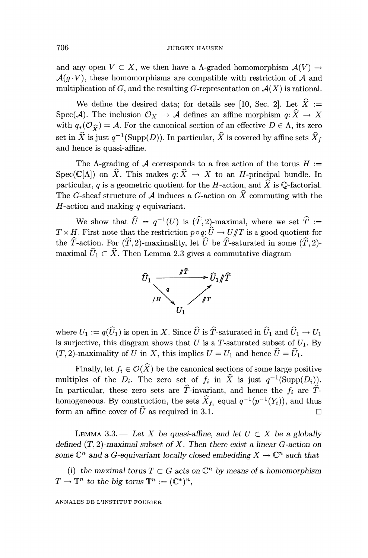and any open  $V \subset X$ , we then have a A-graded homomorphism  $\mathcal{A}(V) \rightarrow$  $\mathcal{A}(q \cdot V)$ , these homomorphisms are compatible with restriction of A and multiplication of G, and the resulting G-representation on  $\mathcal{A}(X)$  is rational.

We define the desired data; for details see [10, Sec. 2]. Let  $\hat{X}$  := Spec(A). The inclusion  $\mathcal{O}_X \to \mathcal{A}$  defines an affine morphism  $q: \hat{X} \to X$ with  $q_*(\mathcal{O}_\widehat{\mathcal{C}}) = \mathcal{A}$ . For the canonical section of an effective  $D \in \Lambda$ , its zero set in  $\hat{X}$  is just  $q^{-1}(\text{Supp}(D))$ . In particular,  $\hat{X}$  is covered by affine sets  $\hat{X}_f$ and hence is quasi-affine.

The  $\Lambda$ -grading of A corresponds to a free action of the torus  $H :=$ Spec(C[A]) on  $\widehat{X}$ . This makes  $q: \widehat{X} \to X$  to an H-principal bundle. In particular, q is a geometric quotient for the H-action, and  $\hat{X}$  is Q-factorial. The G-sheaf structure of A induces a G-action on  $\hat{X}$  commuting with the  $H$ -action and making  $q$  equivariant.

We show that  $\hat{U} = q^{-1}(U)$  is  $(\hat{T}, 2)$ -maximal, where we set  $\hat{T} :=$  $T \times H$ . First note that the restriction  $p \circ q: \hat{U} \to U/T$  is a good quotient for the  $\hat{T}$ -action. For  $(\hat{T}, 2)$ -maximality, let  $\hat{U}$  be  $\hat{T}$ -saturated in some  $(\hat{T}, 2)$ maximal  $\widehat{U}_1 \subset \widehat{X}$ . Then Lemma 2.3 gives a commutative diagram



where  $U_1 := q(\widehat{U}_1)$  is open in X. Since  $\widehat{U}$  is  $\widehat{T}$ -saturated in  $\widehat{U}_1$  and  $\widehat{U}_1 \to U_1$ is surjective, this diagram shows that  $U$  is a T-saturated subset of  $U_1$ . By  $(T, 2)$ -maximality of U in X, this implies  $U = U_1$  and hence  $U = U_1$ .

Finally, let  $f_i \in \mathcal{O}(\widehat{X})$  be the canonical sections of some large positive multiples of the  $D_i$ . The zero set of  $f_i$  in  $\hat{X}$  is just  $q^{-1}(\text{Supp}(D_i))$ . In particular, these zero sets are  $\hat{T}$ -invariant, and hence the  $f_i$  are  $\hat{T}$ homogeneous. By construction, the sets  $\widehat{X}_{f_i}$  equal  $q^{-1}(p^{-1}(Y_i))$ , and thus form an affine cover of  $\hat{U}$  as required in 3.1.

LEMMA 3.3. - Let X be quasi-affine, and let  $U \subset X$  be a globally defined  $(T, 2)$ -maximal subset of X. Then there exist a linear G-action on some  $\mathbb{C}^n$  and a G-equivariant locally closed embedding  $X \to \mathbb{C}^n$  such that

(i) the maximal torus  $T \subset G$  acts on  $\mathbb{C}^n$  by means of a homomorphism  $T \to \mathbb{T}^n$  to the big torus  $\mathbb{T}^n := (\mathbb{C}^*)^n$ ,

ANNALES DE L'INSTITUT FOURIER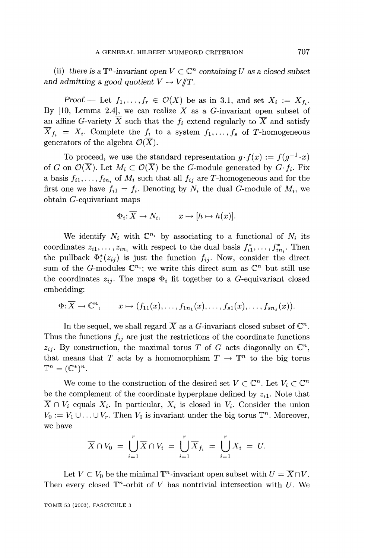(ii) there is a  $\mathbb{T}^n$ -invariant open  $V \subset \mathbb{C}^n$  containing U as a closed subset and admitting a good quotient  $V \to V/T$ .

Proof. – Let  $f_1, \ldots, f_r \in \mathcal{O}(X)$  be as in 3.1, and set  $X_i := X_f$ . By  $[10, \text{ Lemma } 2.4]$ , we can realize X as a G-invariant open subset of an affine G-variety  $\overline{X}$  such that the  $f_i$  extend regularly to  $\overline{X}$  and satisfy  $\overline{X}_{f_i} = X_i$ . Complete the  $f_i$  to a system  $f_1, \ldots, f_s$  of T-homogeneous generators of the algebra  $\mathcal{O}(\overline{X})$ .

To proceed, we use the standard representation  $q \cdot f(x) := f(q^{-1} \cdot x)$ of G on  $\mathcal{O}(\overline{X})$ . Let  $M_i \subset \mathcal{O}(\overline{X})$  be the G-module generated by  $G \cdot f_i$ . Fix a basis  $f_{i1}, \ldots, f_{in_i}$  of  $M_i$  such that all  $f_{ij}$  are T-homogeneous and for the first one we have  $f_{i1} = f_i$ . Denoting by  $N_i$  the dual G-module of  $M_i$ , we obtain G-equivariant maps

$$
\Phi_i \colon \overline{X} \to N_i, \qquad x \mapsto [h \mapsto h(x)].
$$

We identify  $N_i$  with  $\mathbb{C}^{n_i}$  by associating to a functional of  $N_i$  its coordinates  $z_{i1}, \ldots, z_{in_i}$  with respect to the dual basis  $f_{i1}^*, \ldots, f_{in_i}^*$ . Then the pullback  $\Phi_i^*(z_{ij})$  is just the function  $f_{ij}$ . Now, consider the direct sum of the G-modules  $\mathbb{C}^{n_i}$ ; we write this direct sum as  $\mathbb{C}^n$  but still use the coordinates  $z_{ij}$ . The maps  $\Phi_i$  fit together to a G-equivariant closed embedding:

$$
\Phi: \overline{X} \to \mathbb{C}^n, \qquad x \mapsto (f_{11}(x), \ldots, f_{1n_1}(x), \ldots, f_{s1}(x), \ldots, f_{sn_s}(x)).
$$

In the sequel, we shall regard  $\overline{X}$  as a G-invariant closed subset of  $\mathbb{C}^n$ . Thus the functions  $f_{ij}$  are just the restrictions of the coordinate functions  $z_{ij}$ . By construction, the maximal torus T of G acts diagonally on  $\mathbb{C}^n$ , that means that T acts by a homomorphism  $T \to \mathbb{T}^n$  to the big torus  $\mathbb{T}^n = (\mathbb{C}^*)^n$ .

We come to the construction of the desired set  $V \subset \mathbb{C}^n$ . Let  $V_i \subset \mathbb{C}^n$ be the complement of the coordinate hyperplane defined by  $z_{i1}$ . Note that  $X \cap V_i$  equals  $X_i$ . In particular,  $X_i$  is closed in  $V_i$ . Consider the union  $V_0 := V_1 \cup \ldots \cup V_r$ . Then  $V_0$  is invariant under the big torus  $\mathbb{T}^n$ . Moreover, we have

$$
\overline{X} \cap V_0 = \bigcup_{i=1}^r \overline{X} \cap V_i = \bigcup_{i=1}^r \overline{X}_{f_i} = \bigcup_{i=1}^r X_i = U.
$$

Let  $V \subset V_0$  be the minimal  $\mathbb{T}^n$ -invariant open subset with  $U = \overline{X} \cap V$ . Then every closed  $\mathbb{T}^n$ -orbit of V has nontrivial intersection with U. We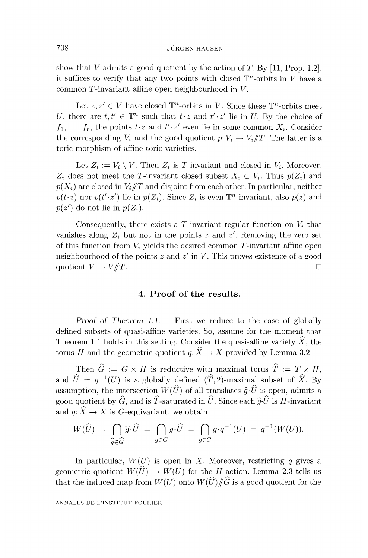show that V admits a good quotient by the action of T. By [11, Prop. 1.2], it suffices to verify that any two points with closed  $\mathbb{T}^n$ -orbits in V have a common T-invariant affine open neighbourhood in V.

Let  $z, z' \in V$  have closed  $\mathbb{T}^n$ -orbits in V. Since these  $\mathbb{T}^n$ -orbits meet U, there are  $t, t' \in \mathbb{T}^n$  such that  $t \cdot z$  and  $t' \cdot z'$  lie in U. By the choice of  $f_1, \ldots, f_r$ , the points  $t \cdot z$  and  $t' \cdot z'$  even lie in some common  $X_i$ . Consider the corresponding  $V_i$  and the good quotient  $p: V_i \to V_i/\!\!/ T$ . The latter is a toric morphism of affine toric varieties.

Let  $Z_i := V_i \setminus V$ . Then  $Z_i$  is T-invariant and closed in  $V_i$ . Moreover,  $Z_i$  does not meet the T-invariant closed subset  $X_i \subset V_i$ . Thus  $p(Z_i)$  and  $p(X_i)$  are closed in  $V_i/T$  and disjoint from each other. In particular, neither  $p(t \cdot z)$  nor  $p(t' \cdot z')$  lie in  $p(Z_i)$ . Since  $Z_i$  is even  $\mathbb{T}^n$ -invariant, also  $p(z)$  and  $p(z')$  do not lie in  $p(Z_i)$ .

Consequently, there exists a T-invariant regular function on  $V_i$  that vanishes along  $Z_i$  but not in the points z and z'. Removing the zero set of this function from  $V_i$  yields the desired common T-invariant affine open neighbourhood of the points  $z$  and  $z'$  in  $V$ . This proves existence of a good quotient  $V \to V/T$ .

## 4. Proof of the results.

Proof of Theorem  $1.1$ . First we reduce to the case of globally defined subsets of quasi-affine varieties. So, assume for the moment that Theorem 1.1 holds in this setting. Consider the quasi-affine variety  $\hat{X}$ , the torus H and the geometric quotient  $q: \widehat{X} \to X$  provided by Lemma 3.2.

Then  $\hat{G} := G \times H$  is reductive with maximal torus  $\hat{T} := T \times H$ , and  $\hat{U} = q^{-1}(U)$  is a globally defined  $(\hat{T}, 2)$ -maximal subset of  $\hat{X}$ . By assumption, the intersection  $W(\widehat{U})$  of all translates  $\widehat{q} \cdot \widehat{U}$  is open, admits a good quotient by  $\widehat{G}$ , and is  $\widehat{T}$ -saturated in  $\widehat{U}$ . Since each  $\widehat{g}\cdot\widehat{U}$  is H-invariant and  $q: \widehat{X} \to X$  is G-equivariant, we obtain

$$
W(\widehat{U}) = \bigcap_{\widehat{g} \in \widehat{G}} \widehat{g} \cdot \widehat{U} = \bigcap_{g \in G} g \cdot \widehat{U} = \bigcap_{g \in G} g \cdot q^{-1}(U) = q^{-1}(W(U))
$$

In particular,  $W(U)$  is open in X. Moreover, restricting q gives a geometric quotient  $W(U) \to W(U)$  for the H-action. Lemma 2.3 tells us that the induced map from  $W(U)$  onto  $W(\widehat{U})/\!\!/ \widehat{G}$  is a good quotient for the

ANNALES DE L'INSTITUT FOURIER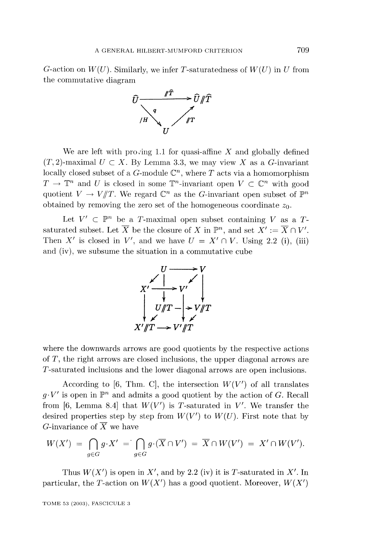G-action on  $W(U)$ . Similarly, we infer T-saturatedness of  $W(U)$  in U from the commutative diagram



We are left with proving 1.1 for quasi-affine X and globally defined  $(T,2)$ -maximal  $U \subset X$ . By Lemma 3.3, we may view X as a G-invariant locally closed subset of a G-module  $\mathbb{C}^n$ , where T acts via a homomorphism  $T \to \mathbb{T}^n$  and U is closed in some  $\mathbb{T}^n$ -invariant open  $V \subset \mathbb{C}^n$  with good quotient  $V \to V/T$ . We regard  $\mathbb{C}^n$  as the *G*-invariant open subset of  $\mathbb{P}^n$ obtained by removing the zero set of the homogeneous coordinate  $z_0$ .

Let  $V' \subset \mathbb{P}^n$  be a T-maximal open subset containing V as a Tsaturated subset. Let  $\overline{X}$  be the closure of X in  $\mathbb{P}^n$ , and set  $X' := \overline{X} \cap V'$ . Then X' is closed in V', and we have  $U = X' \cap V$ . Using 2.2 (i), (iii) and (iv), we subsume the situation in a commutative cube



where the downwards arrows are good quotients by the respective actions of T, the right arrows are closed inclusions, the upper diagonal arrows are T-saturated inclusions and the lower diagonal arrows are open inclusions.

According to [6, Thm. C], the intersection  $W(V')$  of all translates  $g \cdot V'$  is open in  $\mathbb{P}^n$  and admits a good quotient by the action of G. Recall from [6, Lemma 8.4] that  $W(V')$  is T-saturated in V'. We transfer the desired properties step by step from  $W(V')$  to  $W(U)$ . First note that by G-invariance of  $\overline{X}$  we have

$$
W(X') = \bigcap_{g \in G} g \cdot X' = \bigcap_{g \in G} g \cdot (\overline{X} \cap V') = \overline{X} \cap W(V') = X' \cap W(V').
$$

Thus  $W(X')$  is open in X', and by 2.2 (iv) it is T-saturated in X'. In particular, the T-action on  $W(X')$  has a good quotient. Moreover,  $W(X')$ 

TOME 53 (2003), FASCICULE 3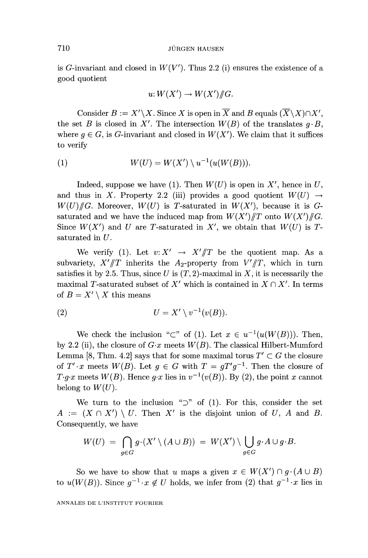is G-invariant and closed in  $W(V')$ . Thus 2.2 (i) ensures the existence of a good quotient

$$
u: W(X') \to W(X')/\!\!/G.
$$

Consider  $B := X' \backslash X$ . Since X is open in  $\overline{X}$  and B equals  $(\overline{X} \backslash X) \cap X'$ . the set B is closed in X'. The intersection  $W(B)$  of the translates  $q \cdot B$ , where  $g \in G$ , is G-invariant and closed in  $W(X')$ . We claim that it suffices to verify

$$
(1) \hspace{1cm} W(U) = W(X') \setminus u^{-1}(u(W(B))).
$$

Indeed, suppose we have (1). Then  $W(U)$  is open in X', hence in U, and thus in X. Property 2.2 (iii) provides a good quotient  $W(U) \rightarrow$  $W(U)/\!\!/ G$ . Moreover,  $W(U)$  is T-saturated in  $W(X')$ , because it is Gsaturated and we have the induced map from  $W(X')/T$  onto  $W(X')/T$ . Since  $W(X')$  and U are T-saturated in X', we obtain that  $W(U)$  is Tsaturated in U.

We verify (1). Let  $v: X' \rightarrow X'/T$  be the quotient map. As a subvariety,  $X'/T$  inherits the A<sub>2</sub>-property from  $V'/T$ , which in turn satisfies it by 2.5. Thus, since U is  $(T, 2)$ -maximal in X, it is necessarily the maximal T-saturated subset of X' which is contained in  $X \cap X'$ . In terms of  $B = X' \setminus X$  this means

$$
(2) \tU = X' \setminus v^{-1}(v(B)).
$$

We check the inclusion "C" of (1). Let  $x \in u^{-1}(u(W(B)))$ . Then, by 2.2 (ii), the closure of  $G \text{·}x$  meets  $W(B)$ . The classical Hilbert-Mumford Lemma [8, Thm. 4.2] says that for some maximal torus  $T' \subset G$  the closure of  $T' \cdot x$  meets  $W(B)$ . Let  $g \in G$  with  $T = gT'g^{-1}$ . Then the closure of  $T \cdot g \cdot x$  meets  $W(B)$ . Hence  $g \cdot x$  lies in  $v^{-1}(v(B))$ . By (2), the point x cannot belong to  $W(U)$ .

We turn to the inclusion " $\supset$ " of (1). For this, consider the set  $A := (X \cap X') \setminus U$ . Then X' is the disjoint union of U, A and B. Consequently, we have

$$
W(U) = \bigcap_{g \in G} g \cdot (X' \setminus (A \cup B)) = W(X') \setminus \bigcup_{g \in G} g \cdot A \cup g \cdot B.
$$

So we have to show that u maps a given  $x \in W(X') \cap g \cdot (A \cup B)$ to  $u(W(B))$ . Since  $q^{-1} \tcdot x \notin U$  holds, we infer from (2) that  $q^{-1} \tcdot x$  lies in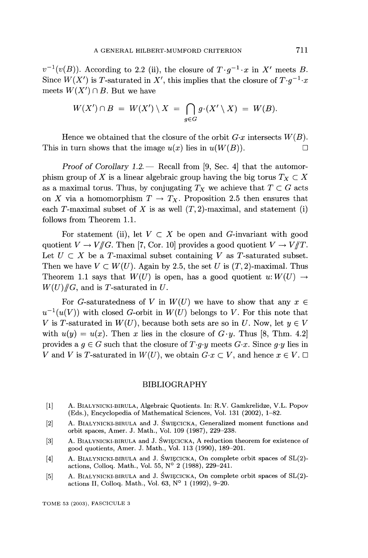$v^{-1}(v(B))$ . According to 2.2 (ii), the closure of  $T \cdot a^{-1} \cdot x$  in X' meets B. Since  $W(X')$  is T-saturated in X', this implies that the closure of  $T \cdot q^{-1} \cdot x$ meets  $W(X') \cap B$ . But we have

$$
W(X') \cap B = W(X') \setminus X = \bigcap_{g \in G} g \cdot (X' \setminus X) = W(B).
$$

Hence we obtained that the closure of the orbit  $G \cdot x$  intersects  $W(B)$ . This in turn shows that the image  $u(x)$  lies in  $u(W(B))$ .

Proof of Corollary  $1.2$  - Recall from [9, Sec. 4] that the automorphism group of X is a linear algebraic group having the big torus  $T_X \subset X$ as a maximal torus. Thus, by conjugating  $T_X$  we achieve that  $T \subset G$  acts on X via a homomorphism  $T \to T_X$ . Proposition 2.5 then ensures that each T-maximal subset of X is as well  $(T, 2)$ -maximal, and statement (i) follows from Theorem 1.1.

For statement (ii), let  $V \subset X$  be open and G-invariant with good quotient  $V \to V/\hspace{-3pt}/ G$ . Then [7, Cor. 10] provides a good quotient  $V \to V/\hspace{-3pt}/ T$ . Let  $U \subset X$  be a T-maximal subset containing V as T-saturated subset. Then we have  $V \subset W(U)$ . Again by 2.5, the set U is  $(T, 2)$ -maximal. Thus Theorem 1.1 says that  $W(U)$  is open, has a good quotient  $u: W(U) \rightarrow$  $W(U)/\!\!/G$ , and is T-saturated in U.

For G-saturatedness of V in  $W(U)$  we have to show that any  $x \in$  $u^{-1}(u(V))$  with closed G-orbit in  $W(U)$  belongs to V. For this note that V is T-saturated in  $W(U)$ , because both sets are so in U. Now, let  $y \in V$ with  $u(y) = u(x)$ . Then x lies in the closure of  $G \cdot y$ . Thus [8, Thm. 4.2] provides a  $g \in G$  such that the closure of  $T \cdot g \cdot y$  meets  $G \cdot x$ . Since g $\cdot y$  lies in V and V is T-saturated in  $W(U)$ , we obtain  $G \cdot x \subset V$ , and hence  $x \in V$ .

#### BIBLIOGRAPHY

- [1] A. BIALYNICKI-BIRULA, Algebraic Quotients. In: R.V. Gamkrelidze, V.L. Popov (Eds.), Encyclopedia of Mathematical Sciences, Vol. 131 (2002), 1-82.
- [2] A. BIALYNICKI-BIRULA and J. ŚWIĘCICKA, Generalized moment functions and orbit spaces, Amer. J. Math., Vol. 109 (1987), 229-238.
- [3] A. BIALYNICKI-BIRULA and J. ŚWIĘCICKA, A reduction theorem for existence of good quotients, Amer. J. Math., Vol. 113 (1990), 189-201.
- [4] A. BIALYNICKI-BIRULA and J. ŚWIĘCICKA, On complete orbit spaces of  $SL(2)$ actions, Colloq. Math., Vol. 55, N° 2 (1988), 229-241.
- [5] A. BIALYNICKI-BIRULA and J. ŚWIĘCICKA, On complete orbit spaces of  $SL(2)$ actions II, Colloq. Math., Vol. 63, N° 1 (1992), 9-20.

TOME 53 (2003), FASCICULE 3